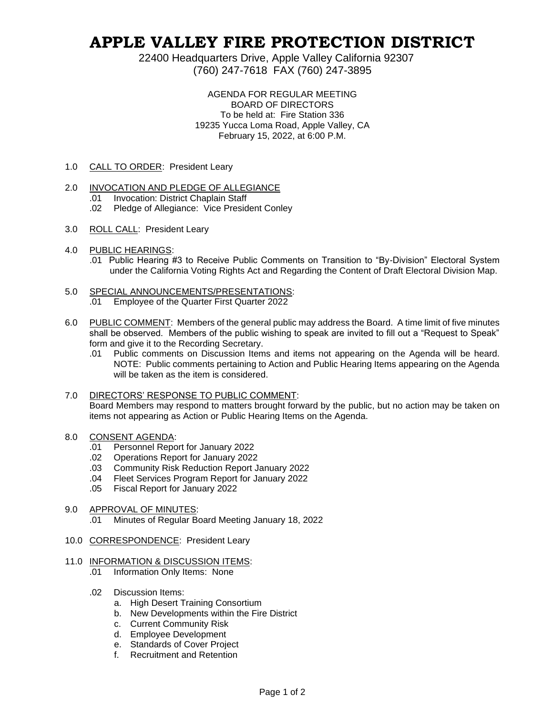## **APPLE VALLEY FIRE PROTECTION DISTRICT**

22400 Headquarters Drive, Apple Valley California 92307 (760) 247-7618 FAX (760) 247-3895

> AGENDA FOR REGULAR MEETING BOARD OF DIRECTORS To be held at: Fire Station 336 19235 Yucca Loma Road, Apple Valley, CA February 15, 2022, at 6:00 P.M.

1.0 CALL TO ORDER: President Leary

## 2.0 INVOCATION AND PLEDGE OF ALLEGIANCE

- .01 Invocation: District Chaplain Staff
- .02 Pledge of Allegiance: Vice President Conley
- 3.0 ROLL CALL: President Leary
- 4.0 PUBLIC HEARINGS:
	- .01 Public Hearing #3 to Receive Public Comments on Transition to "By-Division" Electoral System under the California Voting Rights Act and Regarding the Content of Draft Electoral Division Map.
- 5.0 SPECIAL ANNOUNCEMENTS/PRESENTATIONS: .01 Employee of the Quarter First Quarter 2022
- 6.0 PUBLIC COMMENT: Members of the general public may address the Board. A time limit of five minutes shall be observed. Members of the public wishing to speak are invited to fill out a "Request to Speak" form and give it to the Recording Secretary.
	- .01 Public comments on Discussion Items and items not appearing on the Agenda will be heard. NOTE: Public comments pertaining to Action and Public Hearing Items appearing on the Agenda will be taken as the item is considered.
- 7.0 DIRECTORS' RESPONSE TO PUBLIC COMMENT: Board Members may respond to matters brought forward by the public, but no action may be taken on items not appearing as Action or Public Hearing Items on the Agenda.
- 8.0 CONSENT AGENDA:
	- .01 Personnel Report for January 2022
	- .02 Operations Report for January 2022
	- .03 Community Risk Reduction Report January 2022
	- .04 Fleet Services Program Report for January 2022
	- .05 Fiscal Report for January 2022
- 9.0 APPROVAL OF MINUTES:
	- .01 Minutes of Regular Board Meeting January 18, 2022
- 10.0 CORRESPONDENCE: President Leary
- 11.0 INFORMATION & DISCUSSION ITEMS:
	- .01 Information Only Items: None
	- .02 Discussion Items:
		- a. High Desert Training Consortium
		- b. New Developments within the Fire District
		- c. Current Community Risk
		- d. Employee Development
		- e. Standards of Cover Project
		- f. Recruitment and Retention